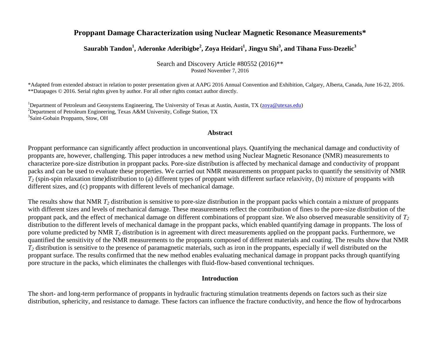# **Proppant Damage Characterization using Nuclear Magnetic Resonance Measurements\***

**Saurabh Tandon<sup>1</sup> , Aderonke Aderibigbe<sup>2</sup> , Zoya Heidari<sup>1</sup> , Jingyu Shi<sup>3</sup> , and Tihana Fuss-Dezelic<sup>3</sup>**

Search and Discovery Article #80552 (2016)\*\* Posted November 7, 2016

\*Adapted from extended abstract in relation to poster presentation given at AAPG 2016 Annual Convention and Exhibition, Calgary, Alberta, Canada, June 16-22, 2016. \*\*Datapages © 2016. Serial rights given by author. For all other rights contact author directly.

<sup>1</sup>Department of Petroleum and Geosystems Engineering, The University of Texas at Austin, Austin, TX [\(zoya@utexas.edu\)](mailto:zoya@utexas.edu) <sup>2</sup>Department of Petroleum Engineering, Texas A&M University, College Station, TX 3 Saint-Gobain Proppants, Stow, OH

#### **Abstract**

Proppant performance can significantly affect production in unconventional plays. Quantifying the mechanical damage and conductivity of proppants are, however, challenging. This paper introduces a new method using Nuclear Magnetic Resonance (NMR) measurements to characterize pore-size distribution in proppant packs. Pore-size distribution is affected by mechanical damage and conductivity of proppant packs and can be used to evaluate these properties. We carried out NMR measurements on proppant packs to quantify the sensitivity of NMR  $T_2$  (spin-spin relaxation time)distribution to (a) different types of proppant with different surface relaxivity, (b) mixture of proppants with different sizes, and (c) proppants with different levels of mechanical damage.

The results show that NMR  $T_2$  distribution is sensitive to pore-size distribution in the proppant packs which contain a mixture of proppants with different sizes and levels of mechanical damage. These measurements reflect the contribution of fines to the pore-size distribution of the proppant pack, and the effect of mechanical damage on different combinations of proppant size. We also observed measurable sensitivity of *T<sup>2</sup>* distribution to the different levels of mechanical damage in the proppant packs, which enabled quantifying damage in proppants. The loss of pore volume predicted by NMR *T<sup>2</sup>* distribution is in agreement with direct measurements applied on the proppant packs. Furthermore, we quantified the sensitivity of the NMR measurements to the proppants composed of different materials and coating. The results show that NMR  $T_2$  distribution is sensitive to the presence of paramagnetic materials, such as iron in the proppants, especially if well distributed on the proppant surface. The results confirmed that the new method enables evaluating mechanical damage in proppant packs through quantifying pore structure in the packs, which eliminates the challenges with fluid-flow-based conventional techniques.

#### **Introduction**

The short- and long-term performance of proppants in hydraulic fracturing stimulation treatments depends on factors such as their size distribution, sphericity, and resistance to damage. These factors can influence the fracture conductivity, and hence the flow of hydrocarbons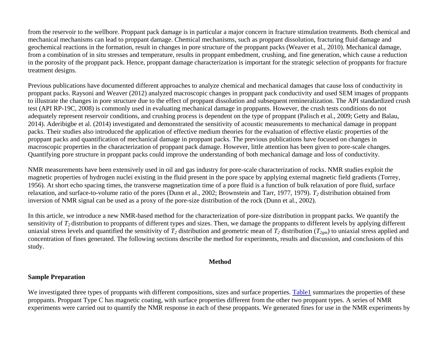from the reservoir to the wellbore. Proppant pack damage is in particular a major concern in fracture stimulation treatments. Both chemical and mechanical mechanisms can lead to proppant damage. Chemical mechanisms, such as proppant dissolution, fracturing fluid damage and geochemical reactions in the formation, result in changes in pore structure of the proppant packs (Weaver et al., 2010). Mechanical damage, from a combination of in situ stresses and temperature, results in proppant embedment, crushing, and fine generation, which cause a reduction in the porosity of the proppant pack. Hence, proppant damage characterization is important for the strategic selection of proppants for fracture treatment designs.

Previous publications have documented different approaches to analyze chemical and mechanical damages that cause loss of conductivity in proppant packs. Raysoni and Weaver (2012) analyzed macroscopic changes in proppant pack conductivity and used SEM images of proppants to illustrate the changes in pore structure due to the effect of proppant dissolution and subsequent remineralization. The API standardized crush test (API RP-19C, 2008) is commonly used in evaluating mechanical damage in proppants. However, the crush tests conditions do not adequately represent reservoir conditions, and crushing process is dependent on the type of proppant (Palisch et al., 2009; Getty and Balau, 2014). Aderibigbe et al. (2014) investigated and demonstrated the sensitivity of acoustic measurements to mechanical damage in proppant packs. Their studies also introduced the application of effective medium theories for the evaluation of effective elastic properties of the proppant packs and quantification of mechanical damage in proppant packs. The previous publications have focused on changes in macroscopic properties in the characterization of proppant pack damage. However, little attention has been given to pore-scale changes. Quantifying pore structure in proppant packs could improve the understanding of both mechanical damage and loss of conductivity.

NMR measurements have been extensively used in oil and gas industry for pore-scale characterization of rocks. NMR studies exploit the magnetic properties of hydrogen nuclei existing in the fluid present in the pore space by applying external magnetic field gradients (Torrey, 1956). At short echo spacing times, the transverse magnetization time of a pore fluid is a function of bulk relaxation of pore fluid, surface relaxation, and surface-to-volume ratio of the pores (Dunn et al., 2002; Brownstein and Tarr, 1977, 1979). *T<sup>2</sup>* distribution obtained from inversion of NMR signal can be used as a proxy of the pore-size distribution of the rock (Dunn et al., 2002).

In this article, we introduce a new NMR-based method for the characterization of pore-size distribution in proppant packs. We quantify the sensitivity of *T2* distribution to proppants of different types and sizes. Then, we damage the proppants to different levels by applying different uniaxial stress levels and quantified the sensitivity of  $T_2$  distribution and geometric mean of  $T_2$  distribution ( $T_{2cm}$ ) to uniaxial stress applied and concentration of fines generated. The following sections describe the method for experiments, results and discussion, and conclusions of this study.

#### **Method**

# **Sample Preparation**

We investigated three types of proppants with different compositions, sizes and surface properties. [Table1](#page-9-0) summarizes the properties of these proppants. Proppant Type C has magnetic coating, with surface properties different from the other two proppant types. A series of NMR experiments were carried out to quantify the NMR response in each of these proppants. We generated fines for use in the NMR experiments by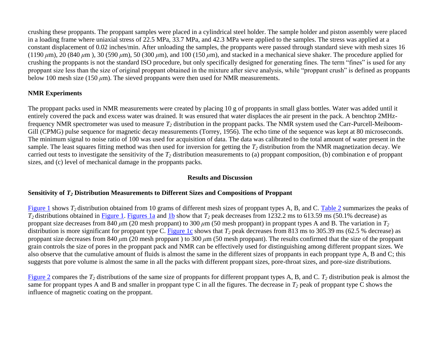crushing these proppants. The proppant samples were placed in a cylindrical steel holder. The sample holder and piston assembly were placed in a loading frame where uniaxial stress of 22.5 MPa, 33.7 MPa, and 42.3 MPa were applied to the samples. The stress was applied at a constant displacement of 0.02 inches/min. After unloading the samples, the proppants were passed through standard sieve with mesh sizes 16  $(1190 \,\mu m)$ , 20  $(840 \,\mu m)$ , 30  $(590 \,\mu m)$ , 50  $(300 \,\mu m)$ , and  $100$   $(150 \,\mu m)$ , and stacked in a mechanical sieve shaker. The procedure applied for crushing the proppants is not the standard ISO procedure, but only specifically designed for generating fines. The term "fines" is used for any proppant size less than the size of original proppant obtained in the mixture after sieve analysis, while "proppant crush" is defined as proppants below 100 mesh size (150 *μ*m). The sieved proppants were then used for NMR measurements.

# **NMR Experiments**

The proppant packs used in NMR measurements were created by placing 10 g of proppants in small glass bottles. Water was added until it entirely covered the pack and excess water was drained. It was ensured that water displaces the air present in the pack. A benchtop 2MHzfrequency NMR spectrometer was used to measure *T<sup>2</sup>* distribution in the proppant packs. The NMR system used the Carr-Purcell-Meiboom-Gill (CPMG) pulse sequence for magnetic decay measurements (Torrey, 1956). The echo time of the sequence was kept at 80 microseconds. The minimum signal to noise ratio of 100 was used for acquisition of data. The data was calibrated to the total amount of water present in the sample. The least squares fitting method was then used for inversion for getting the *T<sup>2</sup>* distribution from the NMR magnetization decay. We carried out tests to investigate the sensitivity of the *T<sup>2</sup>* distribution measurements to (a) proppant composition, (b) combination e of proppant sizes, and (c) level of mechanical damage in the proppants packs.

## **Results and Discussion**

## **Sensitivity of** *T<sup>2</sup>* **Distribution Measurements to Different Sizes and Compositions of Proppant**

[Figure 1](#page-6-0) shows  $T_2$  distribution obtained from 10 grams of different mesh sizes of proppant types A, B, and C. [Table 2](#page-9-1) summarizes the peaks of  $T_2$  distributions obtained in [Figure 1. Figures 1a](#page-6-0) and [1b](#page-6-0) show that  $T_2$  peak decreases from 1232.2 ms to 613.59 ms (50.1% decrease) as proppant size decreases from 840 *μ*m (20 mesh proppant) to 300 *μ*m (50 mesh proppant) in proppant types A and B. The variation in *T<sup>2</sup>* distribution is more significant for proppant type C. [Figure 1c](#page-6-0) shows that  $T_2$  peak decreases from 813 ms to 305.39 ms (62.5 % decrease) as proppant size decreases from 840 *μ*m (20 mesh proppant ) to 300 *μ*m (50 mesh proppant). The results confirmed that the size of the proppant grain controls the size of pores in the proppant pack and NMR can be effectively used for distinguishing among different proppant sizes. We also observe that the cumulative amount of fluids is almost the same in the different sizes of proppants in each proppant type A, B and C; this suggests that pore volume is almost the same in all the packs with different proppant sizes, pore-throat sizes, and pore-size distributions.

[Figure 2](#page-6-1) compares the  $T_2$  distributions of the same size of proppants for different proppant types A, B, and C.  $T_2$  distribution peak is almost the same for proppant types A and B and smaller in proppant type C in all the figures. The decrease in  $T_2$  peak of proppant type C shows the influence of magnetic coating on the proppant.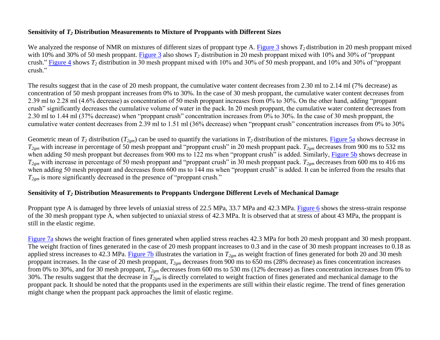## **Sensitivity of** *T<sup>2</sup>* **Distribution Measurements to Mixture of Proppants with Different Sizes**

We analyzed the response of NMR on mixtures of different sizes of proppant type A. [Figure 3](#page-6-2) shows *T2* distribution in 20 mesh proppant mixed with 10% and 30% of 50 mesh proppant. [Figure 3](#page-6-2) also shows *T<sup>2</sup>* distribution in 20 mesh proppant mixed with 10% and 30% of "proppant crush." [Figure 4](#page-7-0) shows *T<sup>2</sup>* distribution in 30 mesh proppant mixed with 10% and 30% of 50 mesh proppant, and 10% and 30% of "proppant crush."

The results suggest that in the case of 20 mesh proppant, the cumulative water content decreases from 2.30 ml to 2.14 ml (7% decrease) as concentration of 50 mesh proppant increases from 0% to 30%. In the case of 30 mesh proppant, the cumulative water content decreases from 2.39 ml to 2.28 ml (4.6% decrease) as concentration of 50 mesh proppant increases from 0% to 30%. On the other hand, adding "proppant crush" significantly decreases the cumulative volume of water in the pack. In 20 mesh proppant, the cumulative water content decreases from 2.30 ml to 1.44 ml (37% decrease) when "proppant crush" concentration increases from 0% to 30%. In the case of 30 mesh proppant, the cumulative water content decreases from 2.39 ml to 1.51 ml (36% decrease) when "proppant crush" concentration increases from 0% to 30%

Geometric mean of  $T_2$  distribution  $(T_{2gm})$  can be used to quantify the variations in  $T_2$  distribution of the mixtures. [Figure 5a](#page-7-1) shows decrease in *T2gm* with increase in percentage of 50 mesh proppant and "proppant crush" in 20 mesh proppant pack. *T2gm* decreases from 900 ms to 532 ms when adding 50 mesh proppant but decreases from 900 ms to 122 ms when "proppant crush" is added. Similarly, [Figure 5b](#page-7-1) shows decrease in *T2gm* with increase in percentage of 50 mesh proppant and "proppant crush" in 30 mesh proppant pack. *T2gm* decreases from 600 ms to 416 ms when adding 50 mesh proppant and decreases from 600 ms to 144 ms when "proppant crush" is added. It can be inferred from the results that  $T_{2gm}$  is more significantly decreased in the presence of "proppant crush."

## **Sensitivity of** *T<sup>2</sup>* **Distribution Measurements to Proppants Undergone Different Levels of Mechanical Damage**

Proppant type A is damaged by three levels of uniaxial stress of 22.5 MPa, 33.7 MPa and 42.3 MPa. [Figure 6](#page-8-0) shows the stress-strain response of the 30 mesh proppant type A, when subjected to uniaxial stress of 42.3 MPa. It is observed that at stress of about 43 MPa, the proppant is still in the elastic regime.

[Figure 7a](#page-8-1) shows the weight fraction of fines generated when applied stress reaches 42.3 MPa for both 20 mesh proppant and 30 mesh proppant. The weight fraction of fines generated in the case of 20 mesh proppant increases to 0.3 and in the case of 30 mesh proppant increases to 0.18 as applied stress increases to 42.3 MPa. [Figure 7b](#page-8-1) illustrates the variation in *T2gm* as weight fraction of fines generated for both 20 and 30 mesh proppant increases. In the case of 20 mesh proppant, *T2gm* decreases from 900 ms to 650 ms (28% decrease) as fines concentration increases from 0% to 30%, and for 30 mesh proppant, *T2gm* decreases from 600 ms to 530 ms (12% decrease) as fines concentration increases from 0% to 30%. The results suggest that the decrease in *T2gm* is directly correlated to weight fraction of fines generated and mechanical damage to the proppant pack. It should be noted that the proppants used in the experiments are still within their elastic regime. The trend of fines generation might change when the proppant pack approaches the limit of elastic regime.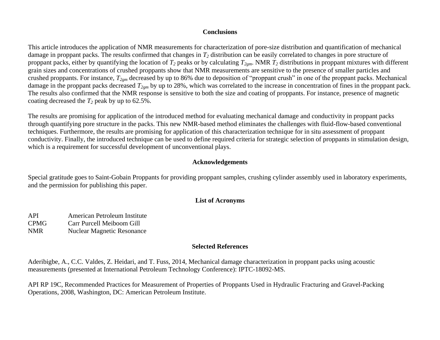#### **Conclusions**

This article introduces the application of NMR measurements for characterization of pore-size distribution and quantification of mechanical damage in proppant packs. The results confirmed that changes in *T<sup>2</sup>* distribution can be easily correlated to changes in pore structure of proppant packs, either by quantifying the location of *T<sup>2</sup>* peaks or by calculating *T2gm*. NMR *T<sup>2</sup>* distributions in proppant mixtures with different grain sizes and concentrations of crushed proppants show that NMR measurements are sensitive to the presence of smaller particles and crushed proppants. For instance, *T2gm* decreased by up to 86% due to deposition of "proppant crush" in one of the proppant packs. Mechanical damage in the proppant packs decreased *T2gm* by up to 28%, which was correlated to the increase in concentration of fines in the proppant pack. The results also confirmed that the NMR response is sensitive to both the size and coating of proppants. For instance, presence of magnetic coating decreased the  $T_2$  peak by up to 62.5%.

The results are promising for application of the introduced method for evaluating mechanical damage and conductivity in proppant packs through quantifying pore structure in the packs. This new NMR-based method eliminates the challenges with fluid-flow-based conventional techniques. Furthermore, the results are promising for application of this characterization technique for in situ assessment of proppant conductivity. Finally, the introduced technique can be used to define required criteria for strategic selection of proppants in stimulation design, which is a requirement for successful development of unconventional plays.

### **Acknowledgements**

Special gratitude goes to Saint-Gobain Proppants for providing proppant samples, crushing cylinder assembly used in laboratory experiments, and the permission for publishing this paper.

## **List of Acronyms**

- API American Petroleum Institute CPMG Carr Purcell Meiboom Gill
- NMR Nuclear Magnetic Resonance

## **Selected References**

Aderibigbe, A., C.C. Valdes, Z. Heidari, and T. Fuss, 2014, Mechanical damage characterization in proppant packs using acoustic measurements (presented at International Petroleum Technology Conference): IPTC-18092-MS.

API RP 19C, Recommended Practices for Measurement of Properties of Proppants Used in Hydraulic Fracturing and Gravel-Packing Operations, 2008, Washington, DC: American Petroleum Institute.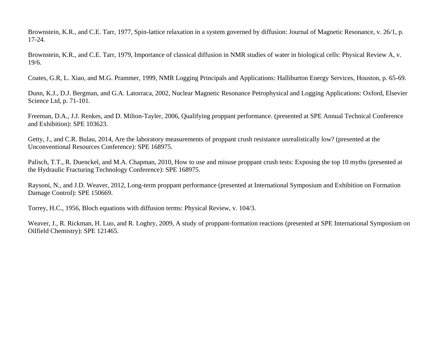Brownstein, K.R., and C.E. Tarr, 1977, Spin-lattice relaxation in a system governed by diffusion: Journal of Magnetic Resonance, v. 26/1, p. 17-24.

Brownstein, K.R., and C.E. Tarr, 1979, Importance of classical diffusion in NMR studies of water in biological cells: Physical Review A, v. 19/6.

Coates, G.R, L. Xiao, and M.G. Prammer, 1999, NMR Logging Principals and Applications: Halliburton Energy Services, Houston, p. 65-69.

Dunn, K.J., D.J. Bergman, and G.A. Latorraca, 2002, Nuclear Magnetic Resonance Petrophysical and Logging Applications: Oxford, Elsevier Science Ltd, p. 71-101.

Freeman, D.A., J.J. Renkes, and D. Milton-Tayler, 2006, Qualifying proppant performance. (presented at SPE Annual Technical Conference and Exhibition): SPE 103623.

Getty, J., and C.R. Bulau, 2014, Are the laboratory measurements of proppant crush resistance unrealistically low? (presented at the Unconventional Resources Conference): SPE 168975.

Palisch, T.T., R. Duenckel, and M.A. Chapman, 2010, How to use and misuse proppant crush tests: Exposing the top 10 myths (presented at the Hydraulic Fracturing Technology Conference): SPE 168975.

Raysoni, N., and J.D. Weaver, 2012, Long-term proppant performance (presented at International Symposium and Exhibition on Formation Damage Control): SPE 150669.

Torrey, H.C., 1956, Bloch equations with diffusion terms: Physical Review, v. 104/3.

Weaver, J., R. Rickman, H. Luo, and R. Loghry, 2009, A study of proppant-formation reactions (presented at SPE International Symposium on Oilfield Chemistry): SPE 121465.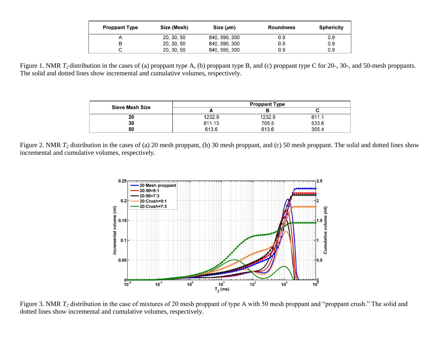| <b>Proppant Type</b> | Size (Mesh) | Size $(\mu m)$ | Roundness | <b>Sphericity</b> |
|----------------------|-------------|----------------|-----------|-------------------|
|                      | 20, 30, 50  | 840, 590, 300  | 0.9       | 0.9               |
|                      | 20, 30, 50  | 840, 590, 300  | 0.9       | 0.9               |
|                      | 20, 30, 50  | 840, 595, 300  | 0.9       | 0.9               |

<span id="page-6-1"></span><span id="page-6-0"></span>Figure 1. NMR  $T_2$  distribution in the cases of (a) proppant type A, (b) proppant type B, and (c) proppant type C for 20-, 30-, and 50-mesh proppants. The solid and dotted lines show incremental and cumulative volumes, respectively.

| <b>Sieve Mesh Size</b> |        | <b>Proppant Type</b> |       |
|------------------------|--------|----------------------|-------|
|                        |        |                      |       |
| 20                     | 1232.9 | 1232.9               | 811.1 |
| 30                     | 811.13 | 705.5                | 533.6 |
| 50                     | 613.6  | 613.6                | 305.4 |

<span id="page-6-2"></span>Figure 2. NMR  $T_2$  distribution in the cases of (a) 20 mesh proppant, (b) 30 mesh proppant, and (c) 50 mesh proppant. The solid and dotted lines show incremental and cumulative volumes, respectively.



Figure 3. NMR  $T_2$  distribution in the case of mixtures of 20 mesh proppant of type A with 50 mesh proppant and "proppant crush." The solid and dotted lines show incremental and cumulative volumes, respectively.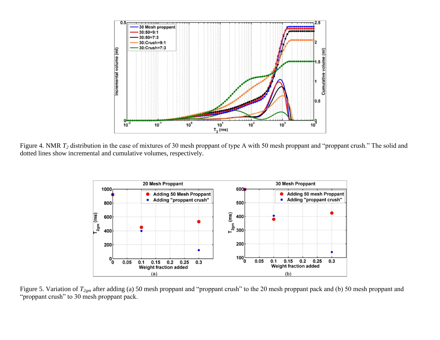<span id="page-7-0"></span>

<span id="page-7-1"></span>Figure 4. NMR  $T_2$  distribution in the case of mixtures of 30 mesh proppant of type A with 50 mesh proppant and "proppant crush." The solid and dotted lines show incremental and cumulative volumes, respectively.



Figure 5. Variation of *T2gm* after adding (a) 50 mesh proppant and "proppant crush" to the 20 mesh proppant pack and (b) 50 mesh proppant and "proppant crush" to 30 mesh proppant pack.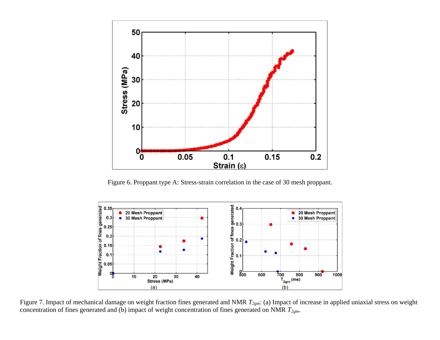<span id="page-8-0"></span>

Figure 6. Proppant type A: Stress-strain correlation in the case of 30 mesh proppant.

<span id="page-8-1"></span>

Figure 7. Impact of mechanical damage on weight fraction fines generated and NMR *T2gm*: (a) Impact of increase in applied uniaxial stress on weight concentration of fines generated and (b) impact of weight concentration of fines generated on NMR *T2gm*.